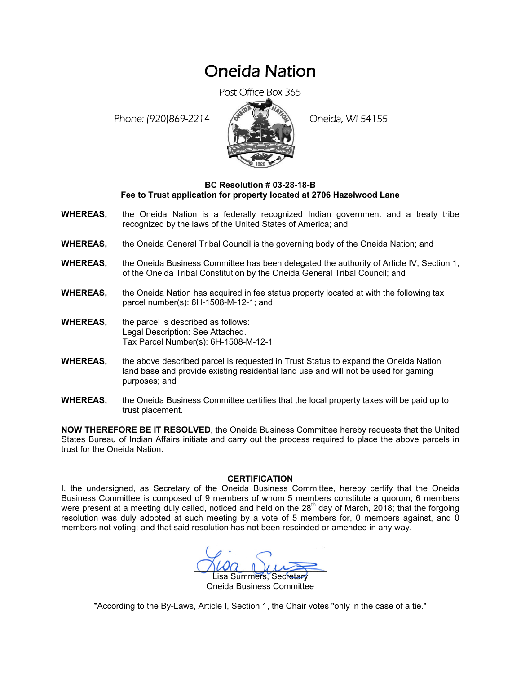## Oneida Nation

Post Office Box 365

Phone: (920)869-2214 (8 22 3) Oneida, WI 54155



## **BC Resolution # 03-28-18-B Fee to Trust application for property located at 2706 Hazelwood Lane**

- **WHEREAS,** the Oneida Nation is a federally recognized Indian government and a treaty tribe recognized by the laws of the United States of America; and
- **WHEREAS,** the Oneida General Tribal Council is the governing body of the Oneida Nation; and
- **WHEREAS,** the Oneida Business Committee has been delegated the authority of Article IV, Section 1, of the Oneida Tribal Constitution by the Oneida General Tribal Council; and
- **WHEREAS,** the Oneida Nation has acquired in fee status property located at with the following tax parcel number(s): 6H-1508-M-12-1; and
- **WHEREAS,** the parcel is described as follows: Legal Description: See Attached. Tax Parcel Number(s): 6H-1508-M-12-1
- **WHEREAS,** the above described parcel is requested in Trust Status to expand the Oneida Nation land base and provide existing residential land use and will not be used for gaming purposes; and
- **WHEREAS,** the Oneida Business Committee certifies that the local property taxes will be paid up to trust placement.

**NOW THEREFORE BE IT RESOLVED**, the Oneida Business Committee hereby requests that the United States Bureau of Indian Affairs initiate and carry out the process required to place the above parcels in trust for the Oneida Nation.

## **CERTIFICATION**

I, the undersigned, as Secretary of the Oneida Business Committee, hereby certify that the Oneida Business Committee is composed of 9 members of whom 5 members constitute a quorum; 6 members were present at a meeting duly called, noticed and held on the 28<sup>th</sup> day of March, 2018; that the forgoing resolution was duly adopted at such meeting by a vote of 5 members for, 0 members against, and 0 members not voting; and that said resolution has not been rescinded or amended in any way.

 $\Omega_{\text{A}}$ Lisa Summers, Secretary

Oneida Business Committee

\*According to the By-Laws, Article I, Section 1, the Chair votes "only in the case of a tie."